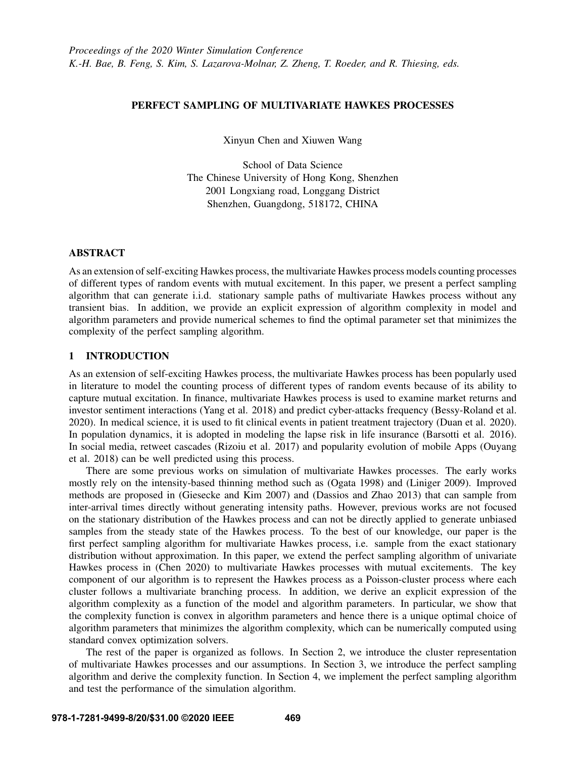# PERFECT SAMPLING OF MULTIVARIATE HAWKES PROCESSES

Xinyun Chen and Xiuwen Wang

School of Data Science The Chinese University of Hong Kong, Shenzhen 2001 Longxiang road, Longgang District Shenzhen, Guangdong, 518172, CHINA

## ABSTRACT

As an extension of self-exciting Hawkes process, the multivariate Hawkes process models counting processes of different types of random events with mutual excitement. In this paper, we present a perfect sampling algorithm that can generate i.i.d. stationary sample paths of multivariate Hawkes process without any transient bias. In addition, we provide an explicit expression of algorithm complexity in model and algorithm parameters and provide numerical schemes to find the optimal parameter set that minimizes the complexity of the perfect sampling algorithm.

# 1 INTRODUCTION

As an extension of self-exciting Hawkes process, the multivariate Hawkes process has been popularly used in literature to model the counting process of different types of random events because of its ability to capture mutual excitation. In finance, multivariate Hawkes process is used to examine market returns and investor sentiment interactions [\(Yang et al. 2018\)](#page-11-0) and predict cyber-attacks frequency [\(Bessy-Roland et al.](#page-11-1) [2020\)](#page-11-1). In medical science, it is used to fit clinical events in patient treatment trajectory [\(Duan et al. 2020\)](#page-11-2). In population dynamics, it is adopted in modeling the lapse risk in life insurance [\(Barsotti et al. 2016\)](#page-11-3). In social media, retweet cascades [\(Rizoiu et al. 2017\)](#page-11-4) and popularity evolution of mobile Apps [\(Ouyang](#page-11-5) [et al. 2018\)](#page-11-5) can be well predicted using this process.

There are some previous works on simulation of multivariate Hawkes processes. The early works mostly rely on the intensity-based thinning method such as [\(Ogata 1998\)](#page-11-6) and [\(Liniger 2009\)](#page-11-7). Improved methods are proposed in [\(Giesecke and Kim 2007\)](#page-11-8) and [\(Dassios and Zhao 2013\)](#page-11-9) that can sample from inter-arrival times directly without generating intensity paths. However, previous works are not focused on the stationary distribution of the Hawkes process and can not be directly applied to generate unbiased samples from the steady state of the Hawkes process. To the best of our knowledge, our paper is the first perfect sampling algorithm for multivariate Hawkes process, i.e. sample from the exact stationary distribution without approximation. In this paper, we extend the perfect sampling algorithm of univariate Hawkes process in [\(Chen 2020\)](#page-11-10) to multivariate Hawkes processes with mutual excitements. The key component of our algorithm is to represent the Hawkes process as a Poisson-cluster process where each cluster follows a multivariate branching process. In addition, we derive an explicit expression of the algorithm complexity as a function of the model and algorithm parameters. In particular, we show that the complexity function is convex in algorithm parameters and hence there is a unique optimal choice of algorithm parameters that minimizes the algorithm complexity, which can be numerically computed using standard convex optimization solvers.

The rest of the paper is organized as follows. In Section [2,](#page-1-0) we introduce the cluster representation of multivariate Hawkes processes and our assumptions. In Section [3,](#page-3-0) we introduce the perfect sampling algorithm and derive the complexity function. In Section [4,](#page-8-0) we implement the perfect sampling algorithm and test the performance of the simulation algorithm.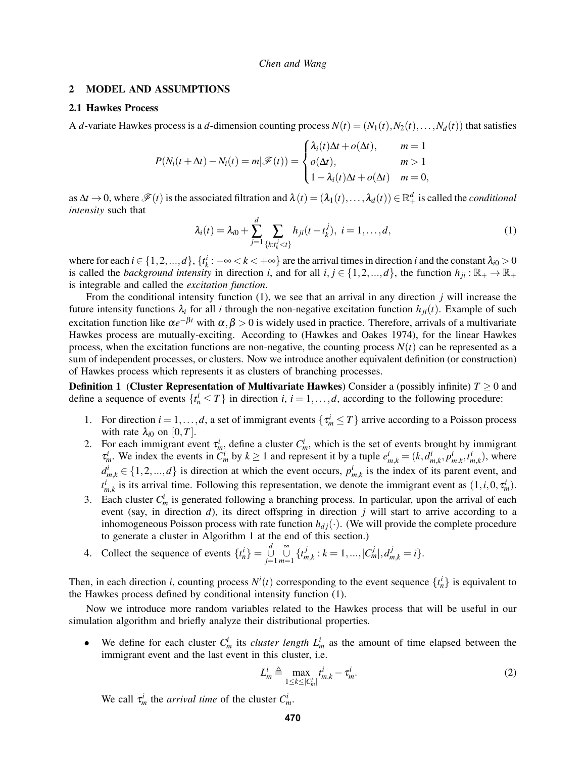### <span id="page-1-0"></span>2 MODEL AND ASSUMPTIONS

#### 2.1 Hawkes Process

A *d*-variate Hawkes process is a *d*-dimension counting process  $N(t) = (N_1(t), N_2(t), \ldots, N_d(t))$  that satisfies

$$
P(N_i(t + \Delta t) - N_i(t) = m | \mathcal{F}(t)) = \begin{cases} \lambda_i(t)\Delta t + o(\Delta t), & m = 1\\ o(\Delta t), & m > 1\\ 1 - \lambda_i(t)\Delta t + o(\Delta t) & m = 0, \end{cases}
$$

as  $\Delta t \to 0$ , where  $\mathscr{F}(t)$  is the associated filtration and  $\lambda(t) = (\lambda_1(t), \dots, \lambda_d(t)) \in \mathbb{R}^d_+$  is called the *conditional intensity* such that

<span id="page-1-1"></span>
$$
\lambda_i(t) = \lambda_{i0} + \sum_{j=1}^d \sum_{\{k: t_k^j < t\}} h_{ji}(t - t_k^j), \ i = 1, ..., d,
$$
 (1)

where for each  $i \in \{1, 2, ..., d\}$ ,  $\{t_k^i : -\infty < k < +\infty\}$  are the arrival times in direction *i* and the constant  $\lambda_{i0} > 0$ is called the *background intensity* in direction *i*, and for all  $i, j \in \{1, 2, ..., d\}$ , the function  $h_{ji} : \mathbb{R}_+ \to \mathbb{R}_+$ is integrable and called the *excitation function*.

From the conditional intensity function [\(1\)](#page-1-1), we see that an arrival in any direction *j* will increase the future intensity functions  $\lambda_i$  for all *i* through the non-negative excitation function  $h_{ji}(t)$ . Example of such excitation function like  $\alpha e^{-\beta t}$  with  $\alpha, \beta > 0$  is widely used in practice. Therefore, arrivals of a multivariate Hawkes process are mutually-exciting. According to [\(Hawkes and Oakes 1974\)](#page-11-11), for the linear Hawkes process, when the excitation functions are non-negative, the counting process  $N(t)$  can be represented as a sum of independent processes, or clusters. Now we introduce another equivalent definition (or construction) of Hawkes process which represents it as clusters of branching processes.

<span id="page-1-2"></span>**Definition 1** (Cluster Representation of Multivariate Hawkes) Consider a (possibly infinite)  $T \ge 0$  and define a sequence of events  $\{t_n^i \leq T\}$  in direction *i*,  $i = 1, \ldots, d$ , according to the following procedure:

- 1. For direction  $i = 1, ..., d$ , a set of immigrant events  $\{\tau_m^i \leq T\}$  arrive according to a Poisson process with rate  $\lambda_{i0}$  on [0, *T*].
- 2. For each immigrant event  $\tau_m^i$ , define a cluster  $C_m^i$ , which is the set of events brought by immigrant  $\tau_m^i$ . We index the events in  $C_m^i$  by  $k \ge 1$  and represent it by a tuple  $e_{m,k}^i = (k, d_{m,k}^i, p_{m,k}^i, t_{m,k}^i)$ , where  $d_{m,k}^i \in \{1, 2, ..., d\}$  is direction at which the event occurs,  $p_{m,k}^i$  is the index of its parent event, and  $t_{m,k}^i$  is its arrival time. Following this representation, we denote the immigrant event as  $(1, i, 0, \tau_m^i)$ .
- 3. Each cluster  $C_m^i$  is generated following a branching process. In particular, upon the arrival of each event (say, in direction *d*), its direct offspring in direction *j* will start to arrive according to a inhomogeneous Poisson process with rate function  $h_{d,i}(\cdot)$ . (We will provide the complete procedure to generate a cluster in Algorithm [1](#page-2-0) at the end of this section.)
- 4. Collect the sequence of events  $\{t_n^i\} = \bigcup_{j=1}^d$  $\bigcup_{m=1}^{\infty} \{t_m^j\}$  $\sum_{m,k}^{j}$  :  $k = 1, ..., |C_m^j|, d_{m,k}^j = i$ .

Then, in each direction *i*, counting process  $N^{i}(t)$  corresponding to the event sequence  $\{t_{n}^{i}\}$  is equivalent to the Hawkes process defined by conditional intensity function [\(1\)](#page-1-1).

Now we introduce more random variables related to the Hawkes process that will be useful in our simulation algorithm and briefly analyze their distributional properties.

• We define for each cluster  $C_m^i$  its *cluster length*  $L_m^i$  as the amount of time elapsed between the immigrant event and the last event in this cluster, i.e.

$$
L_m^i \triangleq \max_{1 \le k \le |\mathcal{C}_m^i|} t_{m,k}^i - \tau_m^i.
$$
 (2)

We call  $\tau_m^i$  the *arrival time* of the cluster  $C_m^i$ .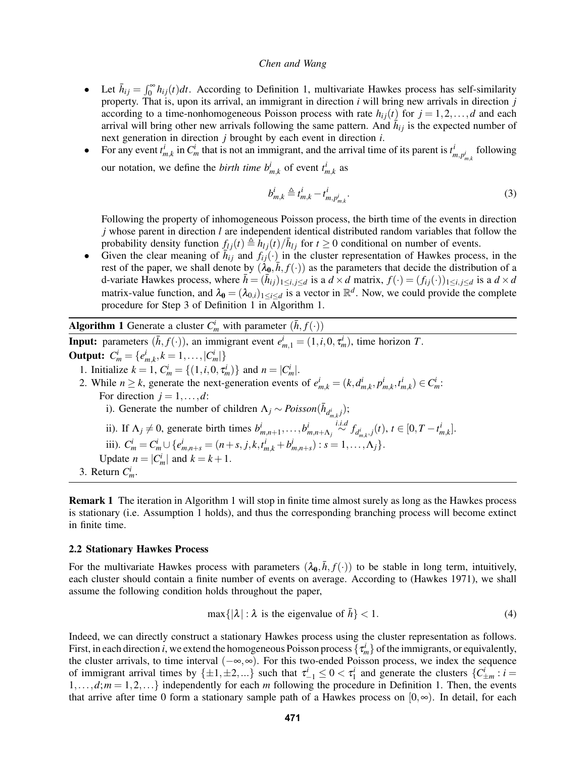- Let  $\bar{h}_{ij} = \int_0^\infty h_{ij}(t)dt$ . According to Definition [1,](#page-1-2) multivariate Hawkes process has self-similarity property. That is, upon its arrival, an immigrant in direction *i* will bring new arrivals in direction *j* according to a time-nonhomogeneous Poisson process with rate  $h_{ij}(t)$  for  $j = 1, 2, \ldots, d$  and each arrival will bring other new arrivals following the same pattern. And  $\hat{h}_{ij}$  is the expected number of next generation in direction *j* brought by each event in direction *i*.
- For any event  $t_{m,k}^i$  in  $C_m^i$  that is not an immigrant, and the arrival time of its parent is  $t_n^i$  $\sum_{m,p_{m,k}}^{i}$  following our notation, we define the *birth time*  $b^i_{m,k}$  of event  $t^i_{m,k}$  as

<span id="page-2-2"></span>
$$
b_{m,k}^i \triangleq t_{m,k}^i - t_{m,p_{m,k}^i}^i. \tag{3}
$$

Following the property of inhomogeneous Poisson process, the birth time of the events in direction *j* whose parent in direction *l* are independent identical distributed random variables that follow the probability density function  $f_{lj}(t) \triangleq h_{lj}(t) / h_{lj}$  for  $t \geq 0$  conditional on number of events.

• Given the clear meaning of  $\overline{h}_{ij}$  and  $f_{ij}(\cdot)$  in the cluster representation of Hawkes process, in the rest of the paper, we shall denote by  $(\lambda_0, \bar{h}, f(\cdot))$  as the parameters that decide the distribution of a d-variate Hawkes process, where  $\bar{h} = (\bar{h}_{ij})_{1 \leq i,j \leq d}$  is a  $d \times d$  matrix,  $f(\cdot) = (f_{ij}(\cdot))_{1 \leq i,j \leq d}$  is a  $d \times d$ matrix-value function, and  $\lambda_0 = (\lambda_{0,i})_{1 \leq i \leq d}$  is a vector in  $\mathbb{R}^d$ . Now, we could provide the complete procedure for Step 3 of Definition [1](#page-1-2) in Algorithm [1.](#page-2-0)

<span id="page-2-0"></span>Algorithm 1 Generate a cluster  $C_m^i$  with parameter  $(\bar{h}, f(\cdot))$ 

**Input:** parameters  $(\bar{h}, f(\cdot))$ , an immigrant event  $e^i_{m,1} = (1, i, 0, \tau^i_m)$ , time horizon *T*. Output:  $C_m^i = \{e_{m,k}^i, k = 1, \ldots, |C_m^i|\}$ 1. Initialize  $k = 1$ ,  $C_m^i = \{(1, i, 0, \tau_m^i)\}\$  and  $n = |C_m^i|$ . 2. While  $n \ge k$ , generate the next-generation events of  $e^i_{m,k} = (k, d^i_{m,k}, p^i_{m,k}, t^i_{m,k}) \in C^i_m$ . For direction  $j = 1, \ldots, d$ : i). Generate the number of children  $\Lambda_j \sim Poisson(\bar{h}_{d^i_{m,k}j})$ ; ii). If  $\Lambda_j \neq 0$ , generate birth times  $b^i_{m,n+1}, \ldots, b^i_{m,n+\Lambda_j} \stackrel{i.i.d}{\sim} f_{d^i_{m,k},j}(t), t \in [0, T - t^i_{m,k}].$ iii).  $C_m^i = C_m^i \cup \{e_{m,n+s}^i = (n+s, j, k, t_{m,k}^i + b_{m,n+s}^i) : s = 1, ..., \Lambda_j\}.$ Update  $n = |C_m^i|$  and  $k = k + 1$ . 3. Return  $C_m^i$ .

Remark 1 The iteration in Algorithm [1](#page-2-0) will stop in finite time almost surely as long as the Hawkes process is stationary (i.e. Assumption [1](#page-3-1) holds), and thus the corresponding branching process will become extinct in finite time.

## 2.2 Stationary Hawkes Process

For the multivariate Hawkes process with parameters  $(\lambda_0, \bar{h}, f(\cdot))$  to be stable in long term, intuitively, each cluster should contain a finite number of events on average. According to [\(Hawkes 1971\)](#page-11-12), we shall assume the following condition holds throughout the paper,

<span id="page-2-1"></span>
$$
\max\{|\lambda| : \lambda \text{ is the eigenvalue of } \bar{h}\} < 1. \tag{4}
$$

Indeed, we can directly construct a stationary Hawkes process using the cluster representation as follows. First, in each direction *i*, we extend the homogeneous Poisson process  $\{\tau_m^i\}$  of the immigrants, or equivalently, the cluster arrivals, to time interval (−∞,∞). For this two-ended Poisson process, we index the sequence of immigrant arrival times by  $\{\pm 1, \pm 2, ...\}$  such that  $\tau_{-1}^i \leq 0 < \tau_1^i$  and generate the clusters  $\{C_{\pm m}^i : i =$  $1, \ldots, d; m = 1, 2, \ldots$  independently for each *m* following the procedure in Definition [1.](#page-1-2) Then, the events that arrive after time 0 form a stationary sample path of a Hawkes process on  $[0, \infty)$ . In detail, for each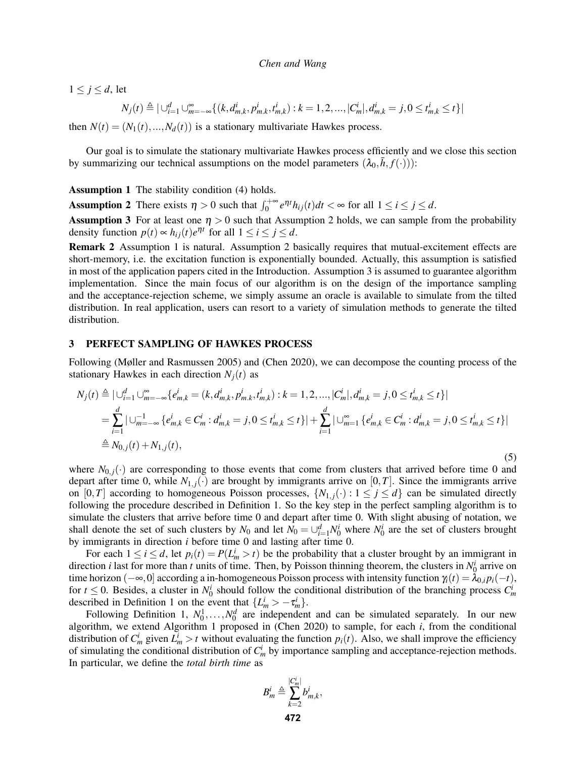$1 \leq j \leq d$ , let

 $N_j(t) \triangleq |\cup_{i=1}^d \cup_{m=-\infty}^{\infty} \{ (k, d_{m,k}^i, p_{m,k}^i, t_{m,k}^i) : k = 1, 2, ..., |C_m^i|, d_{m,k}^i = j, 0 \le t_{m,k}^i \le t \} |$ 

then  $N(t) = (N_1(t),...,N_d(t))$  is a stationary multivariate Hawkes process.

Our goal is to simulate the stationary multivariate Hawkes process efficiently and we close this section by summarizing our technical assumptions on the model parameters  $(\lambda_0, \bar{h}, f(\cdot))$ :

<span id="page-3-1"></span>Assumption 1 The stability condition [\(4\)](#page-2-1) holds.

<span id="page-3-2"></span>**Assumption 2** There exists  $\eta > 0$  such that  $\int_0^{+\infty} e^{\eta t} h_{ij}(t) dt < \infty$  for all  $1 \le i \le j \le d$ .

**Assumption 3** For at least one  $\eta > 0$  such that Assumption [2](#page-3-2) holds, we can sample from the probability density function  $p(t) \propto h_{ij}(t)e^{\eta t}$  for all  $1 \le i \le j \le d$ .

Remark 2 Assumption 1 is natural. Assumption 2 basically requires that mutual-excitement effects are short-memory, i.e. the excitation function is exponentially bounded. Actually, this assumption is satisfied in most of the application papers cited in the Introduction. Assumption 3 is assumed to guarantee algorithm implementation. Since the main focus of our algorithm is on the design of the importance sampling and the acceptance-rejection scheme, we simply assume an oracle is available to simulate from the tilted distribution. In real application, users can resort to a variety of simulation methods to generate the tilted distribution.

## <span id="page-3-0"></span>3 PERFECT SAMPLING OF HAWKES PROCESS

Following [\(Møller and Rasmussen 2005\)](#page-11-13) and [\(Chen 2020\)](#page-11-10), we can decompose the counting process of the stationary Hawkes in each direction  $N_i(t)$  as

$$
N_j(t) \triangleq |\bigcup_{i=1}^d \bigcup_{m=-\infty}^{\infty} \{e_{m,k}^i = (k, d_{m,k}^i, p_{m,k}^i, t_{m,k}^i) : k = 1, 2, ..., |C_m^i|, d_{m,k}^i = j, 0 \le t_{m,k}^i \le t\}|
$$
  
\n
$$
= \sum_{i=1}^d |\bigcup_{m=-\infty}^{-1} \{e_{m,k}^i \in C_m^i : d_{m,k}^i = j, 0 \le t_{m,k}^i \le t\}| + \sum_{i=1}^d |\bigcup_{m=1}^{\infty} \{e_{m,k}^i \in C_m^i : d_{m,k}^i = j, 0 \le t_{m,k}^i \le t\}|
$$
  
\n
$$
\triangleq N_{0,j}(t) + N_{1,j}(t),
$$
\n(5)

where  $N_{0,i}(\cdot)$  are corresponding to those events that come from clusters that arrived before time 0 and depart after time 0, while  $N_{1,j}(\cdot)$  are brought by immigrants arrive on [0,*T*]. Since the immigrants arrive on  $[0, T]$  according to homogeneous Poisson processes,  $\{N_{1,j}(\cdot): 1 \leq j \leq d\}$  can be simulated directly following the procedure described in Definition [1.](#page-1-2) So the key step in the perfect sampling algorithm is to simulate the clusters that arrive before time 0 and depart after time 0. With slight abusing of notation, we shall denote the set of such clusters by  $N_0$  and let  $N_0 = \bigcup_{i=1}^d N_0^i$  where  $N_0^i$  are the set of clusters brought by immigrants in direction *i* before time 0 and lasting after time 0.

For each  $1 \le i \le d$ , let  $p_i(t) = P(L_m^i > t)$  be the probability that a cluster brought by an immigrant in direction *i* last for more than *t* units of time. Then, by Poisson thinning theorem, the clusters in  $N_0^i$  arrive on time horizon ( $-\infty$ ,0] according a in-homogeneous Poisson process with intensity function  $\gamma_i(t) = \lambda_{0,i} p_i(-t)$ , for  $t \leq 0$ . Besides, a cluster in  $N_0^i$  should follow the conditional distribution of the branching process  $C_m^i$ described in Definition [1](#page-1-2) on the event that  $\{L_m^i > -\tau_m^i\}$ .

Following Definition [1,](#page-1-2)  $N_0^1, \ldots, N_0^d$  are independent and can be simulated separately. In our new algorithm, we extend Algorithm 1 proposed in [\(Chen 2020\)](#page-11-10) to sample, for each *i*, from the conditional distribution of  $C_m^i$  given  $L_m^i > t$  without evaluating the function  $p_i(t)$ . Also, we shall improve the efficiency of simulating the conditional distribution of  $C_m^i$  by importance sampling and acceptance-rejection methods. In particular, we define the *total birth time* as

$$
B_m^i \triangleq \sum_{k=2}^{|C_m^i|} b_{m,k}^i,
$$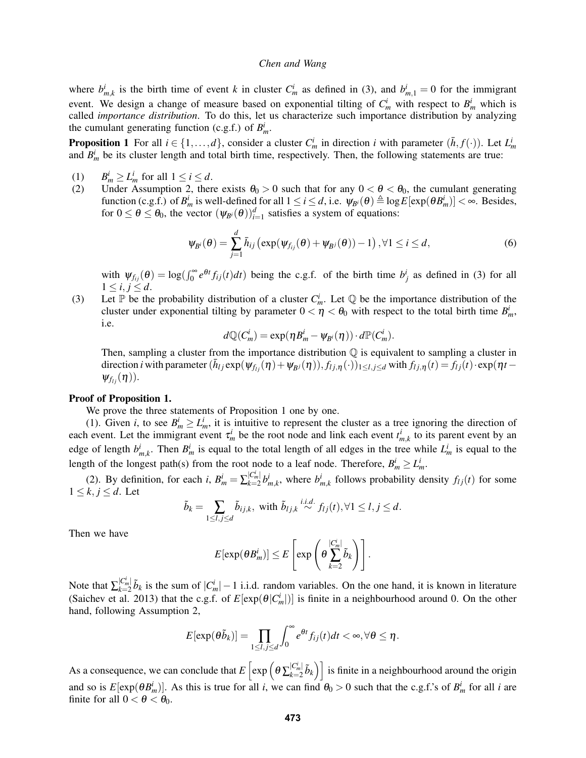where  $b_{m,k}^i$  is the birth time of event *k* in cluster  $C_m^i$  as defined in [\(3\)](#page-2-2), and  $b_{m,1}^i = 0$  for the immigrant event. We design a change of measure based on exponential tilting of  $C_m^i$  with respect to  $B_m^i$  which is called *importance distribution*. To do this, let us characterize such importance distribution by analyzing the cumulant generating function (c.g.f.) of  $B_m^i$ .

<span id="page-4-0"></span>**Proposition 1** For all  $i \in \{1, ..., d\}$ , consider a cluster  $C_m^i$  in direction *i* with parameter  $(\bar{h}, f(\cdot))$ . Let  $L_m^i$ and  $B_m^i$  be its cluster length and total birth time, respectively. Then, the following statements are true:

- $(1)$  $\sum_{m}^{i} L_m^i$  for all  $1 \leq i \leq d$ .
- (2) Under Assumption [2,](#page-3-2) there exists  $\theta_0 > 0$  such that for any  $0 < \theta < \theta_0$ , the cumulant generating function (c.g.f.) of  $B_m^i$  is well-defined for all  $1 \le i \le d$ , i.e.  $\psi_{B_i}(\theta) \triangleq \log E[\exp(\theta B_m^i)] < \infty$ . Besides, for  $0 \le \theta \le \theta_0$ , the vector  $(\psi_{B^i}(\theta))_{i=1}^d$  satisfies a system of equations:

<span id="page-4-1"></span>
$$
\psi_{B^i}(\theta) = \sum_{j=1}^d \bar{h}_{ij} \left( \exp(\psi_{f_{ij}}(\theta) + \psi_{B^j}(\theta)) - 1 \right), \forall 1 \le i \le d,
$$
\n(6)

with  $\psi_{f_{ij}}(\theta) = \log(\int_0^\infty e^{\theta t} f_{ij}(t) dt)$  being the c.g.f. of the birth time  $b^i_j$  as defined in [\(3\)](#page-2-2) for all  $1 \leq i, j \leq d.$ 

(3) Let  $\mathbb{P}$  be the probability distribution of a cluster  $C_m^i$ . Let  $\mathbb{Q}$  be the importance distribution of the cluster under exponential tilting by parameter  $0 < \eta < \theta_0$  with respect to the total birth time  $B_m^i$ , i.e.

$$
d\mathbb{Q}(C_m^i) = \exp(\eta B_m^i - \psi_{B^i}(\eta)) \cdot d\mathbb{P}(C_m^i).
$$

Then, sampling a cluster from the importance distribution  $\mathbb Q$  is equivalent to sampling a cluster in direction *i* with parameter  $(\bar{h}_{lj} \exp(\psi_{f_{lj}}(\eta) + \psi_{Bj}(\eta)), f_{lj,\eta}(\cdot))_{1 \leq l,j \leq d}$  with  $f_{lj,\eta}(t) = f_{lj}(t) \cdot \exp(\eta t \psi_{f_{lj}}(\eta)$ ).

### Proof of Proposition [1.](#page-4-0)

We prove the three statements of Proposition [1](#page-4-0) one by one.

(1). Given *i*, to see  $B_m^i \ge L_m^i$ , it is intuitive to represent the cluster as a tree ignoring the direction of each event. Let the immigrant event  $\tau_m^i$  be the root node and link each event  $t_{m,k}^i$  to its parent event by an edge of length  $b^i_{m,k}$ . Then  $B^i_m$  is equal to the total length of all edges in the tree while  $L^i_m$  is equal to the length of the longest path(s) from the root node to a leaf node. Therefore,  $B_m^i \ge L_m^i$ .

(2). By definition, for each i,  $B_m^i = \sum_{k=2}^{|C_m^i|} b_{m,k}^i$ , where  $b_{m,k}^i$  follows probability density  $f_{lj}(t)$  for some  $1 \leq k, j \leq d$ . Let

$$
\tilde{b}_k = \sum_{1 \leq l, j \leq d} \tilde{b}_{ij,k}, \text{ with } \tilde{b}_{lj,k} \stackrel{i.i.d.}{\sim} f_{lj}(t), \forall 1 \leq l, j \leq d.
$$

Then we have

$$
E[\exp(\theta B_m^i)] \leq E\left[\exp\left(\theta \sum_{k=2}^{|C_m^i|} \tilde{b}_k\right)\right].
$$

Note that  $\sum_{k=2}^{|C_m|} \tilde{b}_k$  is the sum of  $|C_m^i| - 1$  i.i.d. random variables. On the one hand, it is known in literature [\(Saichev et al. 2013\)](#page-11-14) that the c.g.f. of  $E[\exp(\theta|C_m^i|)]$  is finite in a neighbourhood around 0. On the other hand, following Assumption [2,](#page-3-2)

$$
E[\exp(\theta \tilde{b}_k)] = \prod_{1 \leq l,j \leq d} \int_0^{\infty} e^{\theta t} f_{ij}(t) dt < \infty, \forall \theta \leq \eta.
$$

As a consequence, we can conclude that  $E\left[\exp\left(\theta \sum_{k=2}^{|C_m|} \tilde{b}_k\right)\right]$  is finite in a neighbourhood around the origin and so is  $E[\exp(\theta B_m^i)]$ . As this is true for all *i*, we can find  $\theta_0 > 0$  such that the c.g.f.'s of  $B_m^i$  for all *i* are finite for all  $0 < \theta < \theta_0$ .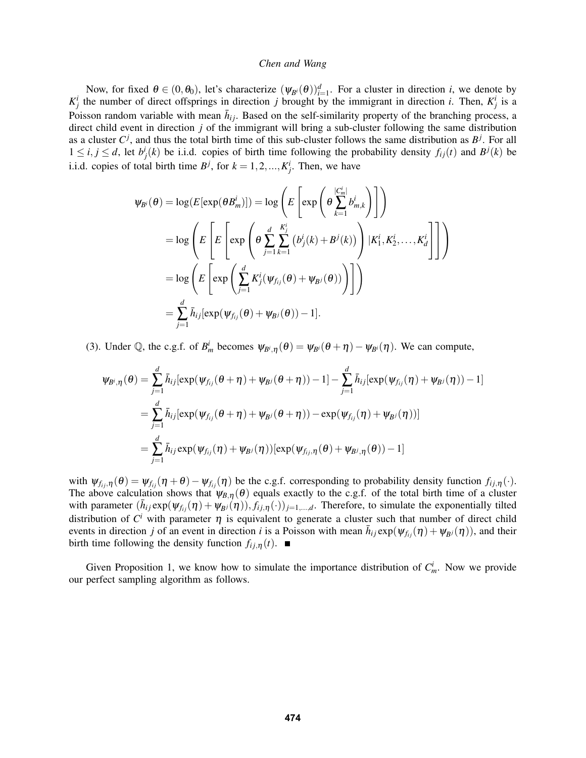Now, for fixed  $\theta \in (0, \theta_0)$ , let's characterize  $(\psi_{B^i}(\theta))_{i=1}^d$ . For a cluster in direction *i*, we denote by  $K_j^i$  the number of direct offsprings in direction *j* brought by the immigrant in direction *i*. Then,  $K_j^i$  is a Poisson random variable with mean  $\bar{h}_{ij}$ . Based on the self-similarity property of the branching process, a direct child event in direction *j* of the immigrant will bring a sub-cluster following the same distribution as a cluster  $C<sup>j</sup>$ , and thus the total birth time of this sub-cluster follows the same distribution as  $B<sup>j</sup>$ . For all  $1 \le i, j \le d$ , let  $b^i_j(k)$  be i.i.d. copies of birth time following the probability density  $f_{ij}(t)$  and  $B^j(k)$  be i.i.d. copies of total birth time  $B^j$ , for  $k = 1, 2, ..., K^i_j$ . Then, we have

$$
\psi_{B^i}(\theta) = \log(E[\exp(\theta B_m^i)]) = \log\left(E\left[\exp\left(\theta \sum_{k=1}^{|C_m^i|} b_{m,k}^i\right)\right]\right)
$$
  
\n
$$
= \log\left(E\left[E\left[\exp\left(\theta \sum_{j=1}^d \sum_{k=1}^{K_j^i} (b_j^i(k) + B^j(k))\right) | K_1^i, K_2^i, \dots, K_d^i\right]\right]\right)
$$
  
\n
$$
= \log\left(E\left[\exp\left(\sum_{j=1}^d K_j^i(\psi_{f_{ij}}(\theta) + \psi_{B^j}(\theta))\right)\right]\right)
$$
  
\n
$$
= \sum_{j=1}^d \bar{h}_{ij}[\exp(\psi_{f_{ij}}(\theta) + \psi_{B^j}(\theta)) - 1].
$$

(3). Under  $\mathbb{Q}$ , the c.g.f. of  $B_m^i$  becomes  $\psi_{B^i,\eta}(\theta) = \psi_{B^i}(\theta + \eta) - \psi_{B^i}(\eta)$ . We can compute,

$$
\psi_{B^i,\eta}(\theta) = \sum_{j=1}^d \bar{h}_{ij} [\exp(\psi_{f_{ij}}(\theta + \eta) + \psi_{B^j}(\theta + \eta)) - 1] - \sum_{j=1}^d \bar{h}_{ij} [\exp(\psi_{f_{ij}}(\eta) + \psi_{B^j}(\eta)) - 1]
$$
  
\n
$$
= \sum_{j=1}^d \bar{h}_{ij} [\exp(\psi_{f_{ij}}(\theta + \eta) + \psi_{B^j}(\theta + \eta)) - \exp(\psi_{f_{ij}}(\eta) + \psi_{B^j}(\eta))]
$$
  
\n
$$
= \sum_{j=1}^d \bar{h}_{ij} \exp(\psi_{f_{ij}}(\eta) + \psi_{B^j}(\eta)) [\exp(\psi_{f_{ij},\eta}(\theta) + \psi_{B^j,\eta}(\theta)) - 1]
$$

with  $\psi_{f_{ij},\eta}(\theta) = \psi_{f_{ij}}(\eta + \theta) - \psi_{f_{ij}}(\eta)$  be the c.g.f. corresponding to probability density function  $f_{ij,\eta}(\cdot)$ . The above calculation shows that  $\psi_{B,\eta}(\theta)$  equals exactly to the c.g.f. of the total birth time of a cluster with parameter  $(\bar{h}_{ij} \exp(\psi_{f_{ij}}(\eta) + \psi_{Bj}(\eta))$ ,  $f_{ij,\eta}(\cdot))_{j=1,\dots,d}$ . Therefore, to simulate the exponentially tilted distribution of  $C<sup>i</sup>$  with parameter  $\eta$  is equivalent to generate a cluster such that number of direct child events in direction *j* of an event in direction *i* is a Poisson with mean  $\bar{h}_{ij} \exp(\psi_{f_{ij}}(\eta) + \psi_{B}( \eta))$ , and their birth time following the density function  $f_{ij,\eta}(t)$ .

Given Proposition [1,](#page-4-0) we know how to simulate the importance distribution of  $C_m^i$ . Now we provide our perfect sampling algorithm as follows.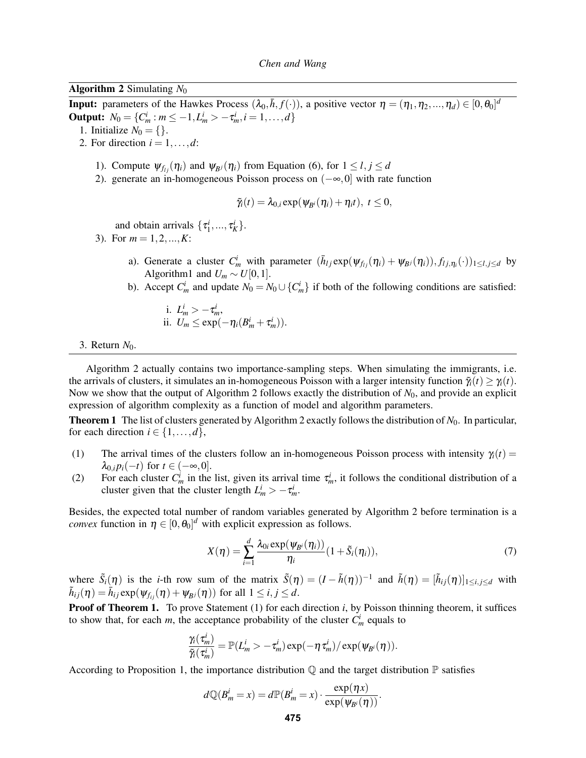<span id="page-6-0"></span>Algorithm 2 Simulating *N*<sup>0</sup>

**Input:** parameters of the Hawkes Process  $(\lambda_0, \bar{h}, f(\cdot))$ , a positive vector  $\eta = (\eta_1, \eta_2, ..., \eta_d) \in [0, \theta_0]^d$ **Output:**  $N_0 = \{C_m^i : m \le -1, L_m^i > -\tau_m^i, i = 1, ..., d\}$ 

1. Initialize  $N_0 = \{\}.$ 

- 2. For direction  $i = 1, \ldots, d$ :
	- 1). Compute  $\psi_{f_{ij}}(\eta_i)$  and  $\psi_{B^j}(\eta_i)$  from Equation [\(6\)](#page-4-1), for  $1 \leq l, j \leq d$
	- 2). generate an in-homogeneous Poisson process on ( $-\infty$ ,0) with rate function

$$
\tilde{\gamma}_i(t) = \lambda_{0,i} \exp(\psi_{B^i}(\eta_i) + \eta_i t), \ t \leq 0,
$$

and obtain arrivals  $\{\tau_1^i, ..., \tau_K^i\}.$ 

- 3). For  $m = 1, 2, ..., K$ :
	- a). Generate a cluster  $C_m^i$  with parameter  $(\bar{h}_{lj} \exp(\psi_{f_{lj}}(\eta_i) + \psi_{Bj}(\eta_i)), f_{lj, \eta_i}(\cdot))_{1 \leq l, j \leq d}$  by Algorith[m1](#page-2-0) and  $U_m \sim U[0,1]$ .
	- b). Accept  $C_m^i$  and update  $N_0 = N_0 \cup \{C_m^i\}$  if both of the following conditions are satisfied:

i. 
$$
L_m^i > -\tau_m^i
$$
,  
ii.  $U_m \le \exp(-\eta_i(B_m^i + \tau_m^i))$ .

3. Return *N*<sub>0</sub>.

Algorithm [2](#page-6-0) actually contains two importance-sampling steps. When simulating the immigrants, i.e. the arrivals of clusters, it simulates an in-homogeneous Poisson with a larger intensity function  $\tilde{\gamma}(t) \geq \gamma(t)$ . Now we show that the output of Algorithm [2](#page-6-0) follows exactly the distribution of *N*0, and provide an explicit expression of algorithm complexity as a function of model and algorithm parameters.

<span id="page-6-1"></span>Theorem 1 The list of clusters generated by Algorithm [2](#page-6-0) exactly follows the distribution of *N*0. In particular, for each direction  $i \in \{1, \ldots, d\}$ ,

- (1) The arrival times of the clusters follow an in-homogeneous Poisson process with intensity  $\gamma_i(t)$  =  $\lambda_{0,i}p_i(-t)$  for  $t \in (-\infty,0]$ .
- (2) For each cluster  $C_m^i$  in the list, given its arrival time  $\tau_m^i$ , it follows the conditional distribution of a cluster given that the cluster length  $L_m^i > -\tau_m^i$ .

Besides, the expected total number of random variables generated by Algorithm [2](#page-6-0) before termination is a *convex* function in  $\eta \in [0, \theta_0]^d$  with explicit expression as follows.

<span id="page-6-2"></span>
$$
X(\eta) = \sum_{i=1}^{d} \frac{\lambda_{0i} \exp(\psi_{B^i}(\eta_i))}{\eta_i} (1 + \tilde{S}_i(\eta_i)),
$$
\n(7)

where  $\tilde{S}_i(\eta)$  is the *i*-th row sum of the matrix  $\tilde{S}(\eta) = (I - \tilde{h}(\eta))^{-1}$  and  $\tilde{h}(\eta) = [\tilde{h}_{ij}(\eta)]_{1 \le i, j \le d}$  with  $\tilde{h}_{ij}(\eta) = \bar{h}_{ij} \exp(\psi_{f_{ij}}(\eta) + \psi_{B^j}(\eta))$  for all  $1 \le i, j \le d$ .

Proof of Theorem [1.](#page-6-1) To prove Statement (1) for each direction *i*, by Poisson thinning theorem, it suffices to show that, for each *m*, the acceptance probability of the cluster  $C_m^i$  equals to

$$
\frac{\gamma_i(\tau_m^i)}{\tilde{\gamma}_i(\tau_m^i)} = \mathbb{P}(L_m^i > -\tau_m^i)\exp(-\eta \tau_m^i)/\exp(\psi_{B^i}(\eta)).
$$

According to Proposition [1,](#page-4-0) the importance distribution  $\mathbb{Q}$  and the target distribution  $\mathbb{P}$  satisfies

$$
d\mathbb{Q}(B_m^i = x) = d\mathbb{P}(B_m^i = x) \cdot \frac{\exp(\eta x)}{\exp(\psi_{B^i}(\eta))}.
$$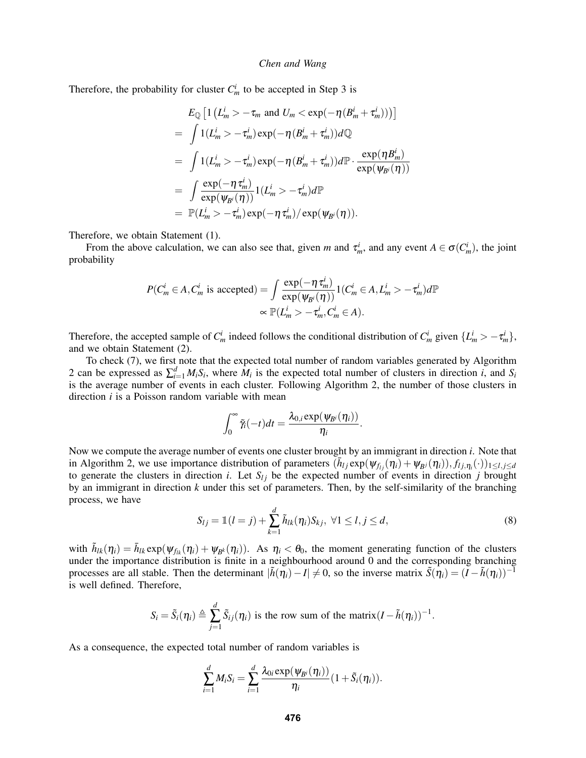Therefore, the probability for cluster  $C_m^i$  to be accepted in Step 3 is

$$
E_{\mathbb{Q}}\left[1\left(L_m^i > -\tau_m \text{ and } U_m < \exp(-\eta(B_m^i + \tau_m^i))\right)\right]
$$
  
= 
$$
\int 1(L_m^i > -\tau_m^i) \exp(-\eta(B_m^i + \tau_m^i))d\mathbb{Q}
$$
  
= 
$$
\int 1(L_m^i > -\tau_m^i) \exp(-\eta(B_m^i + \tau_m^i))d\mathbb{P} \cdot \frac{\exp(\eta B_m^i)}{\exp(\psi_{B^i}(\eta))}
$$
  
= 
$$
\int \frac{\exp(-\eta \tau_m^i)}{\exp(\psi_{B^i}(\eta))} 1(L_m^i > -\tau_m^i)d\mathbb{P}
$$
  
= 
$$
\mathbb{P}(L_m^i > -\tau_m^i) \exp(-\eta \tau_m^i)/\exp(\psi_{B^i}(\eta)).
$$

Therefore, we obtain Statement (1).

From the above calculation, we can also see that, given *m* and  $\tau_m^i$ , and any event  $A \in \sigma(C_m^i)$ , the joint probability

$$
P(C_m^i \in A, C_m^i \text{ is accepted}) = \int \frac{\exp(-\eta \tau_m^i)}{\exp(\psi_{B^i}(\eta))} 1(C_m^i \in A, L_m^i > -\tau_m^i) d\mathbb{P}
$$

$$
\propto \mathbb{P}(L_m^i > -\tau_m^i, C_m^i \in A).
$$

Therefore, the accepted sample of  $C_m^i$  indeed follows the conditional distribution of  $C_m^i$  given  $\{L_m^i > -\tau_m^i\}$ , and we obtain Statement (2).

To check [\(7\)](#page-6-2), we first note that the expected total number of random variables generated by Algorithm [2](#page-6-0) can be expressed as  $\sum_{i=1}^{d} M_i S_i$ , where  $M_i$  is the expected total number of clusters in direction *i*, and  $S_i$ is the average number of events in each cluster. Following Algorithm [2,](#page-6-0) the number of those clusters in direction *i* is a Poisson random variable with mean

$$
\int_0^\infty \tilde{\gamma}_i(-t)dt = \frac{\lambda_{0,i} \exp(\psi_{B^i}(\eta_i))}{\eta_i}.
$$

Now we compute the average number of events one cluster brought by an immigrant in direction *i*. Note that in Algorithm [2,](#page-6-0) we use importance distribution of parameters  $(\bar{h}_{lj} \exp(\psi_{f_{lj}}(\eta_i) + \psi_{Bj}(\eta_i)), f_{lj, \eta_i}(\cdot))_{1 \leq l, j \leq d}$ to generate the clusters in direction *i*. Let  $S_{ij}$  be the expected number of events in direction *j* brought by an immigrant in direction *k* under this set of parameters. Then, by the self-similarity of the branching process, we have

$$
S_{lj} = \mathbb{1}(l = j) + \sum_{k=1}^{d} \tilde{h}_{lk}(\eta_i) S_{kj}, \ \forall 1 \le l, j \le d,
$$
\n(8)

.

with  $\tilde{h}_{lk}(\eta_i) = \bar{h}_{lk} \exp(\psi_{f_{lk}}(\eta_i) + \psi_{B^k}(\eta_i))$ . As  $\eta_i < \theta_0$ , the moment generating function of the clusters under the importance distribution is finite in a neighbourhood around  $\overline{0}$  and the corresponding branching processes are all stable. Then the determinant  $|\tilde{h}(\eta_i) - I| \neq 0$ , so the inverse matrix  $\tilde{S}(\eta_i) = (I - \tilde{h}(\eta_i))^{-1}$ is well defined. Therefore,

$$
S_i = \tilde{S}_i(\eta_i) \triangleq \sum_{j=1}^d \tilde{S}_{ij}(\eta_i)
$$
 is the row sum of the matrix $(I - \tilde{h}(\eta_i))^{-1}$ 

As a consequence, the expected total number of random variables is

$$
\sum_{i=1}^d M_i S_i = \sum_{i=1}^d \frac{\lambda_{0i} \exp(\psi_{B^i}(\eta_i))}{\eta_i} (1 + \tilde{S}_i(\eta_i)).
$$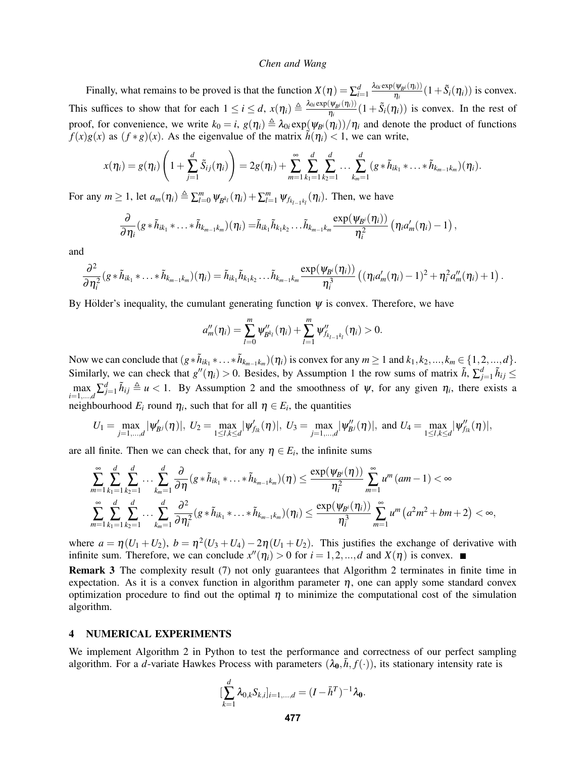Finally, what remains to be proved is that the function  $X(\eta) = \sum_{i=1}^d \frac{\lambda_{0i} \exp(\psi_{B^i}(\eta_i))}{\eta_i}$  $\frac{(\Psi_{B^i}(\eta_i))}{\eta_i}(1+\tilde{S}_i(\eta_i))$  is convex. This suffices to show that for each  $1 \leq i \leq d$ ,  $x(\eta_i) \triangleq \frac{\lambda_{0i} \exp(\psi_{Bi}(\eta_i))}{n_i}$  $\frac{(\Psi_{\beta i}(\eta_i))}{\eta_i}(1+\tilde{S}_i(\eta_i))$  is convex. In the rest of proof, for convenience, we write  $k_0 = i$ ,  $g(\eta_i) \triangleq \lambda_{0i} \exp(\psi_{B^i}(\eta_i))/\eta_i$  and denote the product of functions  $f(x)g(x)$  as  $(f * g)(x)$ . As the eigenvalue of the matrix  $\tilde{h}(\eta_i) < 1$ , we can write,

$$
x(\eta_i) = g(\eta_i) \left( 1 + \sum_{j=1}^d \tilde{S}_{ij}(\eta_i) \right) = 2g(\eta_i) + \sum_{m=1}^{\infty} \sum_{k_1=1}^d \sum_{k_2=1}^d \cdots \sum_{k_m=1}^d (g * \tilde{h}_{ik_1} * \cdots * \tilde{h}_{k_{m-1}k_m})(\eta_i).
$$

For any  $m \ge 1$ , let  $a_m(\eta_i) \triangleq \sum_{l=0}^m \psi_{B^{k_l}}(\eta_i) + \sum_{l=1}^m \psi_{f_{k_{l-1}k_l}}(\eta_i)$ . Then, we have

$$
\frac{\partial}{\partial \eta_i}(g*\tilde{h}_{ik_1}*\ldots*\tilde{h}_{k_{m-1}k_m})(\eta_i)=\tilde{h}_{ik_1}\tilde{h}_{k_1k_2}\ldots\tilde{h}_{k_{m-1}k_m}\frac{\exp(\psi_{B^i}(\eta_i))}{\eta_i^2}\left(\eta_i a'_m(\eta_i)-1\right),
$$

and

$$
\frac{\partial^2}{\partial \eta_i^2}(g*\tilde{h}_{ik_1}*\ldots*\tilde{h}_{k_{m-1}k_m})(\eta_i)=\tilde{h}_{ik_1}\tilde{h}_{k_1k_2}\ldots\tilde{h}_{k_{m-1}k_m}\frac{\exp(\psi_{B^i}(\eta_i))}{\eta_i^3}\left((\eta_ia'_m(\eta_i)-1)^2+\eta_i^2a''_m(\eta_i)+1\right).
$$

By Hölder's inequality, the cumulant generating function  $\psi$  is convex. Therefore, we have

$$
a''_m(\eta_i) = \sum_{l=0}^m \psi''_{B^{k_l}}(\eta_i) + \sum_{l=1}^m \psi''_{f_{k_{l-1}k_l}}(\eta_i) > 0.
$$

Now we can conclude that  $(g * \tilde{h}_{ik_1} * ... * \tilde{h}_{k_{m-1}k_m})(\eta_i)$  is convex for any  $m \ge 1$  and  $k_1, k_2, ..., k_m \in \{1, 2, ..., d\}$ . Similarly, we can check that  $g''(\eta_i) > 0$ . Besides, by Assumption [1](#page-3-1) the row sums of matrix  $\tilde{h}$ ,  $\sum_{j=1}^{d} \tilde{h}_{ij} \leq$  $\max_{i=1,\dots,d} \sum_{j=1}^d \tilde{h}_{ij} \triangleq u < 1$ . By Assumption [2](#page-3-2) and the smoothness of  $\psi$ , for any given  $\eta_i$ , there exists a neighbourhood  $E_i$  round  $\eta_i$ , such that for all  $\eta \in E_i$ , the quantities

$$
U_1 = \max_{j=1,\dots,d} |\psi'_{B^j}(\eta)|, \ U_2 = \max_{1 \leq l,k \leq d} |\psi'_{f_{lk}}(\eta)|, \ U_3 = \max_{j=1,\dots,d} |\psi''_{B^j}(\eta)|, \ \text{and} \ U_4 = \max_{1 \leq l,k \leq d} |\psi''_{f_{lk}}(\eta)|,
$$

are all finite. Then we can check that, for any  $\eta \in E_i$ , the infinite sums

$$
\sum_{m=1}^{\infty} \sum_{k_1=1}^{d} \sum_{k_2=1}^{d} \cdots \sum_{k_m=1}^{d} \frac{\partial}{\partial \eta} (g * \tilde{h}_{ik_1} * \cdots * \tilde{h}_{k_{m-1}k_m})(\eta) \le \frac{\exp(\psi_{B^i}(\eta))}{\eta_i^2} \sum_{m=1}^{\infty} u^m (am-1) < \infty
$$
  

$$
\sum_{m=1}^{\infty} \sum_{k_1=1}^{d} \sum_{k_2=1}^{d} \cdots \sum_{k_m=1}^{d} \frac{\partial^2}{\partial \eta_i^2} (g * \tilde{h}_{ik_1} * \cdots * \tilde{h}_{k_{m-1}k_m})(\eta_i) \le \frac{\exp(\psi_{B^i}(\eta_i))}{\eta_i^3} \sum_{m=1}^{\infty} u^m (a^2m^2 + bm + 2) < \infty,
$$

where  $a = \eta(U_1 + U_2)$ ,  $b = \eta^2(U_3 + U_4) - 2\eta(U_1 + U_2)$ . This justifies the exchange of derivative with infinite sum. Therefore, we can conclude  $x''(\eta_i) > 0$  for  $i = 1, 2, ..., d$  and  $X(\eta)$  is convex.

Remark 3 The complexity result [\(7\)](#page-6-2) not only guarantees that Algorithm [2](#page-6-0) terminates in finite time in expectation. As it is a convex function in algorithm parameter  $\eta$ , one can apply some standard convex optimization procedure to find out the optimal  $\eta$  to minimize the computational cost of the simulation algorithm.

#### <span id="page-8-0"></span>4 NUMERICAL EXPERIMENTS

We implement Algorithm [2](#page-6-0) in Python to test the performance and correctness of our perfect sampling algorithm. For a *d*-variate Hawkes Process with parameters  $(\lambda_0, \bar{h}, f(\cdot))$ , its stationary intensity rate is

$$
\left[\sum_{k=1}^d \lambda_{0,k} S_{k,i}\right]_{i=1,\dots,d} = (I - \bar{h}^T)^{-1} \lambda_0.
$$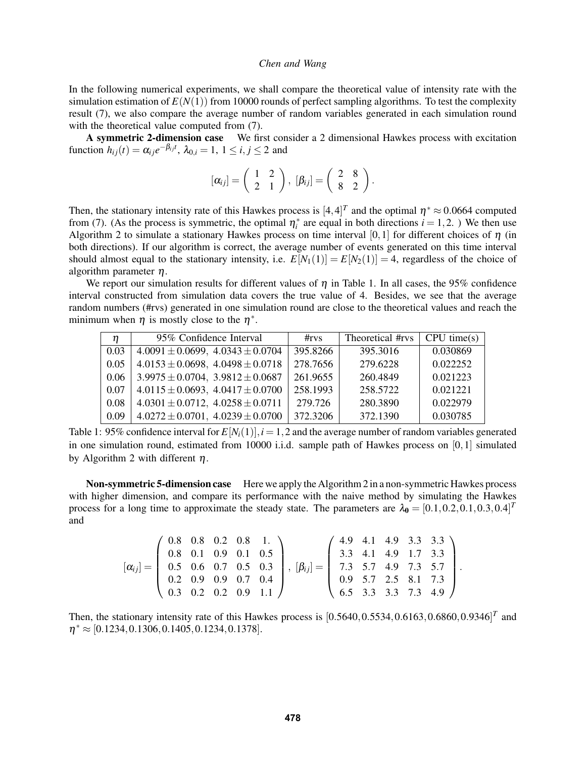In the following numerical experiments, we shall compare the theoretical value of intensity rate with the simulation estimation of  $E(N(1))$  from 10000 rounds of perfect sampling algorithms. To test the complexity result [\(7\)](#page-6-2), we also compare the average number of random variables generated in each simulation round with the theoretical value computed from  $(7)$ .

A symmetric 2-dimension case We first consider a 2 dimensional Hawkes process with excitation function  $h_{ij}(t) = \alpha_{ij}e^{-\beta_{ij}t}$ ,  $\lambda_{0,i} = 1$ ,  $1 \le i, j \le 2$  and

$$
[\alpha_{ij}] = \left(\begin{array}{cc} 1 & 2 \\ 2 & 1 \end{array}\right), [\beta_{ij}] = \left(\begin{array}{cc} 2 & 8 \\ 8 & 2 \end{array}\right).
$$

Then, the stationary intensity rate of this Hawkes process is  $[4,4]^T$  and the optimal  $\eta^* \approx 0.0664$  computed from [\(7\)](#page-6-2). (As the process is symmetric, the optimal  $\eta_i^*$  are equal in both directions  $i = 1, 2$ .) We then use Algorithm [2](#page-6-0) to simulate a stationary Hawkes process on time interval [0,1] for different choices of  $\eta$  (in both directions). If our algorithm is correct, the average number of events generated on this time interval should almost equal to the stationary intensity, i.e.  $E[N_1(1)] = E[N_2(1)] = 4$ , regardless of the choice of algorithm parameter  $\eta$ .

We report our simulation results for different values of  $\eta$  in Table [1.](#page-9-0) In all cases, the 95% confidence interval constructed from simulation data covers the true value of 4. Besides, we see that the average random numbers (#rvs) generated in one simulation round are close to the theoretical values and reach the minimum when  $\eta$  is mostly close to the  $\eta^*$ .

| $\boldsymbol{\eta}$ | 95% Confidence Interval                   | $\#rvs$  | Theoretical #rvs | $CPU \ time(s)$ |
|---------------------|-------------------------------------------|----------|------------------|-----------------|
| 0.03                | $4.0091 \pm 0.0699$ , $4.0343 \pm 0.0704$ | 395.8266 | 395.3016         | 0.030869        |
| 0.05                | $4.0153 \pm 0.0698$ , $4.0498 \pm 0.0718$ | 278.7656 | 279.6228         | 0.022252        |
| 0.06                | $3.9975 \pm 0.0704$ , $3.9812 \pm 0.0687$ | 261.9655 | 260.4849         | 0.021223        |
| 0.07                | $4.0115 \pm 0.0693$ , $4.0417 \pm 0.0700$ | 258.1993 | 258.5722         | 0.021221        |
| 0.08                | $4.0301 \pm 0.0712$ , $4.0258 \pm 0.0711$ | 279.726  | 280.3890         | 0.022979        |
| 0.09                | $4.0272 \pm 0.0701$ , $4.0239 \pm 0.0700$ | 372.3206 | 372.1390         | 0.030785        |

<span id="page-9-0"></span>Table 1: 95% confidence interval for  $E[N_i(1)]$ ,  $i = 1,2$  and the average number of random variables generated in one simulation round, estimated from 10000 i.i.d. sample path of Hawkes process on  $[0,1]$  simulated by Algorithm [2](#page-6-0) with different  $\eta$ .

Non-symmetric 5-dimension case Here we apply the Algorithm [2](#page-6-0) in a non-symmetric Hawkes process with higher dimension, and compare its performance with the naive method by simulating the Hawkes process for a long time to approximate the steady state. The parameters are  $\lambda_0 = [0.1, 0.2, 0.1, 0.3, 0.4]^T$ and

$$
[\alpha_{ij}] = \left(\begin{array}{cccc} 0.8 & 0.8 & 0.2 & 0.8 & 1. \\ 0.8 & 0.1 & 0.9 & 0.1 & 0.5 \\ 0.5 & 0.6 & 0.7 & 0.5 & 0.3 \\ 0.2 & 0.9 & 0.9 & 0.7 & 0.4 \\ 0.3 & 0.2 & 0.2 & 0.9 & 1.1 \end{array}\right), [\beta_{ij}] = \left(\begin{array}{cccc} 4.9 & 4.1 & 4.9 & 3.3 & 3.3 \\ 3.3 & 4.1 & 4.9 & 1.7 & 3.3 \\ 7.3 & 5.7 & 4.9 & 7.3 & 5.7 \\ 0.9 & 5.7 & 2.5 & 8.1 & 7.3 \\ 6.5 & 3.3 & 3.3 & 7.3 & 4.9 \end{array}\right).
$$

Then, the stationary intensity rate of this Hawkes process is  $[0.5640, 0.5534, 0.6163, 0.6860, 0.9346]^T$  and  $\eta^* \approx [0.1234, 0.1306, 0.1405, 0.1234, 0.1378].$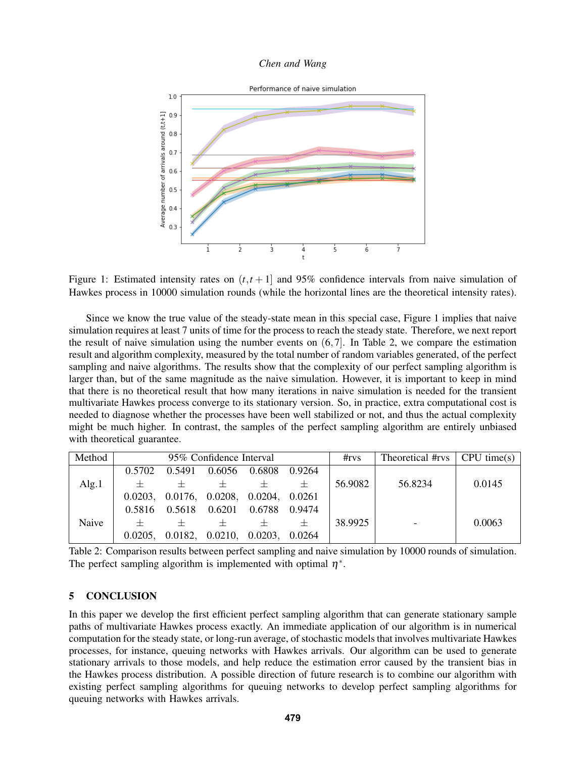*Chen and Wang*



Figure 1: Estimated intensity rates on  $(t, t + 1]$  and 95% confidence intervals from naive simulation of Hawkes process in 10000 simulation rounds (while the horizontal lines are the theoretical intensity rates).

Since we know the true value of the steady-state mean in this special case, Figure 1 implies that naive simulation requires at least 7 units of time for the process to reach the steady state. Therefore, we next report the result of naive simulation using the number events on  $(6,7]$ . In Table [2,](#page-10-0) we compare the estimation result and algorithm complexity, measured by the total number of random variables generated, of the perfect sampling and naive algorithms. The results show that the complexity of our perfect sampling algorithm is larger than, but of the same magnitude as the naive simulation. However, it is important to keep in mind that there is no theoretical result that how many iterations in naive simulation is needed for the transient multivariate Hawkes process converge to its stationary version. So, in practice, extra computational cost is needed to diagnose whether the processes have been well stabilized or not, and thus the actual complexity might be much higher. In contrast, the samples of the perfect sampling algorithm are entirely unbiased with theoretical guarantee.

| Method | 95% Confidence Interval |              |                                          |        | $\#rvs$ | Theoretical #rvs $\vert$ CPU time(s) |                          |        |
|--------|-------------------------|--------------|------------------------------------------|--------|---------|--------------------------------------|--------------------------|--------|
| Alg.1  | 0.5702                  | 0.5491       | 0.6056                                   | 0.6808 | 0.9264  |                                      | 56.8234                  | 0.0145 |
|        |                         | $\mathrm{+}$ |                                          |        | $+$     | 56.9082                              |                          |        |
|        |                         |              | $0.0203, 0.0176, 0.0208, 0.0204, 0.0261$ |        |         |                                      |                          |        |
| Naive  | 0.5816                  | 0.5618       | 0.6201                                   | 0.6788 | 0.9474  |                                      |                          |        |
|        |                         |              |                                          |        |         | 38.9925                              | $\overline{\phantom{0}}$ | 0.0063 |
|        | 0.0205.                 |              | 0.0182, 0.0210, 0.0203, 0.0264           |        |         |                                      |                          |        |

<span id="page-10-0"></span>Table 2: Comparison results between perfect sampling and naive simulation by 10000 rounds of simulation. The perfect sampling algorithm is implemented with optimal  $\eta^*$ .

## 5 CONCLUSION

In this paper we develop the first efficient perfect sampling algorithm that can generate stationary sample paths of multivariate Hawkes process exactly. An immediate application of our algorithm is in numerical computation for the steady state, or long-run average, of stochastic models that involves multivariate Hawkes processes, for instance, queuing networks with Hawkes arrivals. Our algorithm can be used to generate stationary arrivals to those models, and help reduce the estimation error caused by the transient bias in the Hawkes process distribution. A possible direction of future research is to combine our algorithm with existing perfect sampling algorithms for queuing networks to develop perfect sampling algorithms for queuing networks with Hawkes arrivals.